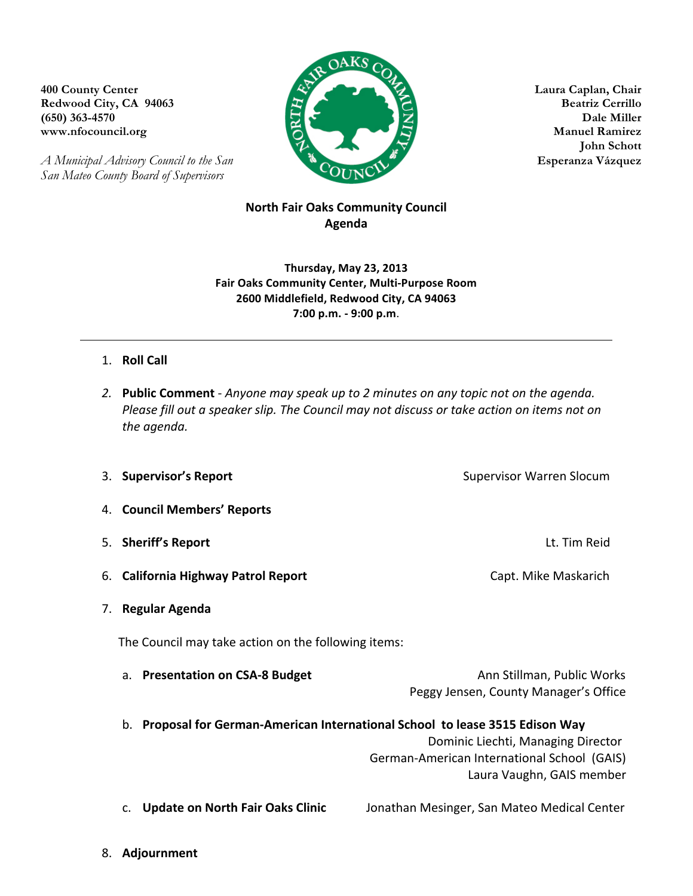**Redwood City, CA 94063** 

*A Municipal Advisory Council to the San* **Esperanza Vázquez** *San Mateo County Board of Supervisors*



**John Schott**

## **North Fair Oaks Community Council Agenda**

**Thursday, May 23, 2013 Fair Oaks Community Center, Multi-Purpose Room 2600 Middlefield, Redwood City, CA 94063 7:00 p.m. - 9:00 p.m**.

## 1. **Roll Call**

2. **Public Comment** - Anyone may speak up to 2 minutes on any topic not on the agenda. *Please fill out a speaker slip. The Council may not discuss or take action on items not on the agenda.*

|    | 3. Supervisor's Report                                                        | <b>Supervisor Warren Slocum</b>                                                                                |  |
|----|-------------------------------------------------------------------------------|----------------------------------------------------------------------------------------------------------------|--|
| 4. | <b>Council Members' Reports</b>                                               |                                                                                                                |  |
| 5. | <b>Sheriff's Report</b>                                                       | Lt. Tim Reid                                                                                                   |  |
| 6. | <b>California Highway Patrol Report</b>                                       | Capt. Mike Maskarich                                                                                           |  |
| 7. | Regular Agenda                                                                |                                                                                                                |  |
|    | The Council may take action on the following items:                           |                                                                                                                |  |
|    | a. Presentation on CSA-8 Budget                                               | Ann Stillman, Public Works<br>Peggy Jensen, County Manager's Office                                            |  |
|    | b. Proposal for German-American International School to lease 3515 Edison Way | Dominic Liechti, Managing Director<br>German-American International School (GAIS)<br>Laura Vaughn, GAIS member |  |
|    | <b>Update on North Fair Oaks Clinic</b>                                       | Jonathan Mesinger, San Mateo Medical Center                                                                    |  |

8. **Adjournment**